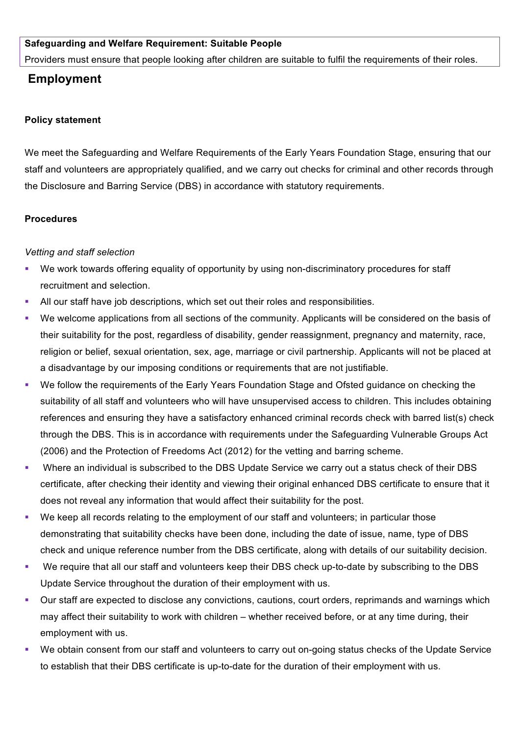### **Safeguarding and Welfare Requirement: Suitable People**

Providers must ensure that people looking after children are suitable to fulfil the requirements of their roles.

# **Employment**

#### **Policy statement**

We meet the Safeguarding and Welfare Requirements of the Early Years Foundation Stage, ensuring that our staff and volunteers are appropriately qualified, and we carry out checks for criminal and other records through the Disclosure and Barring Service (DBS) in accordance with statutory requirements.

#### **Procedures**

### *Vetting and staff selection*

- We work towards offering equality of opportunity by using non-discriminatory procedures for staff recruitment and selection.
- § All our staff have job descriptions, which set out their roles and responsibilities.
- We welcome applications from all sections of the community. Applicants will be considered on the basis of their suitability for the post, regardless of disability, gender reassignment, pregnancy and maternity, race, religion or belief, sexual orientation, sex, age, marriage or civil partnership. Applicants will not be placed at a disadvantage by our imposing conditions or requirements that are not justifiable.
- We follow the requirements of the Early Years Foundation Stage and Ofsted guidance on checking the suitability of all staff and volunteers who will have unsupervised access to children. This includes obtaining references and ensuring they have a satisfactory enhanced criminal records check with barred list(s) check through the DBS. This is in accordance with requirements under the Safeguarding Vulnerable Groups Act (2006) and the Protection of Freedoms Act (2012) for the vetting and barring scheme.
- § Where an individual is subscribed to the DBS Update Service we carry out a status check of their DBS certificate, after checking their identity and viewing their original enhanced DBS certificate to ensure that it does not reveal any information that would affect their suitability for the post.
- We keep all records relating to the employment of our staff and volunteers; in particular those demonstrating that suitability checks have been done, including the date of issue, name, type of DBS check and unique reference number from the DBS certificate, along with details of our suitability decision.
- § We require that all our staff and volunteers keep their DBS check up-to-date by subscribing to the DBS Update Service throughout the duration of their employment with us.
- § Our staff are expected to disclose any convictions, cautions, court orders, reprimands and warnings which may affect their suitability to work with children – whether received before, or at any time during, their employment with us.
- We obtain consent from our staff and volunteers to carry out on-going status checks of the Update Service to establish that their DBS certificate is up-to-date for the duration of their employment with us.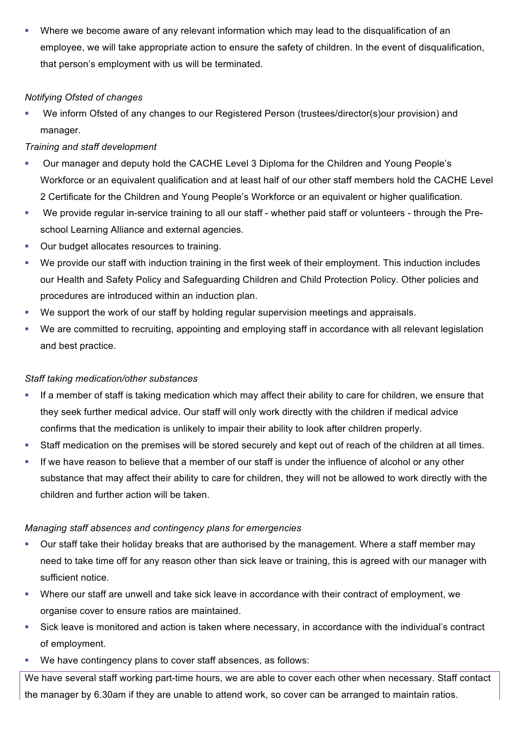Where we become aware of any relevant information which may lead to the disqualification of an employee, we will take appropriate action to ensure the safety of children. In the event of disqualification, that person's employment with us will be terminated.

### *Notifying Ofsted of changes*

■ We inform Ofsted of any changes to our Registered Person (trustees/director(s)our provision) and manager.

### *Training and staff development*

- § Our manager and deputy hold the CACHE Level 3 Diploma for the Children and Young People's Workforce or an equivalent qualification and at least half of our other staff members hold the CACHE Level 2 Certificate for the Children and Young People's Workforce or an equivalent or higher qualification.
- We provide regular in-service training to all our staff whether paid staff or volunteers through the Preschool Learning Alliance and external agencies.
- Our budget allocates resources to training.
- § We provide our staff with induction training in the first week of their employment. This induction includes our Health and Safety Policy and Safeguarding Children and Child Protection Policy. Other policies and procedures are introduced within an induction plan.
- We support the work of our staff by holding regular supervision meetings and appraisals.
- We are committed to recruiting, appointing and employing staff in accordance with all relevant legislation and best practice.

# *Staff taking medication/other substances*

- If a member of staff is taking medication which may affect their ability to care for children, we ensure that they seek further medical advice. Our staff will only work directly with the children if medical advice confirms that the medication is unlikely to impair their ability to look after children properly.
- § Staff medication on the premises will be stored securely and kept out of reach of the children at all times.
- **•** If we have reason to believe that a member of our staff is under the influence of alcohol or any other substance that may affect their ability to care for children, they will not be allowed to work directly with the children and further action will be taken.

# *Managing staff absences and contingency plans for emergencies*

- Our staff take their holiday breaks that are authorised by the management. Where a staff member may need to take time off for any reason other than sick leave or training, this is agreed with our manager with sufficient notice.
- § Where our staff are unwell and take sick leave in accordance with their contract of employment, we organise cover to ensure ratios are maintained.
- § Sick leave is monitored and action is taken where necessary, in accordance with the individual's contract of employment.
- We have contingency plans to cover staff absences, as follows:

We have several staff working part-time hours, we are able to cover each other when necessary. Staff contact the manager by 6.30am if they are unable to attend work, so cover can be arranged to maintain ratios.